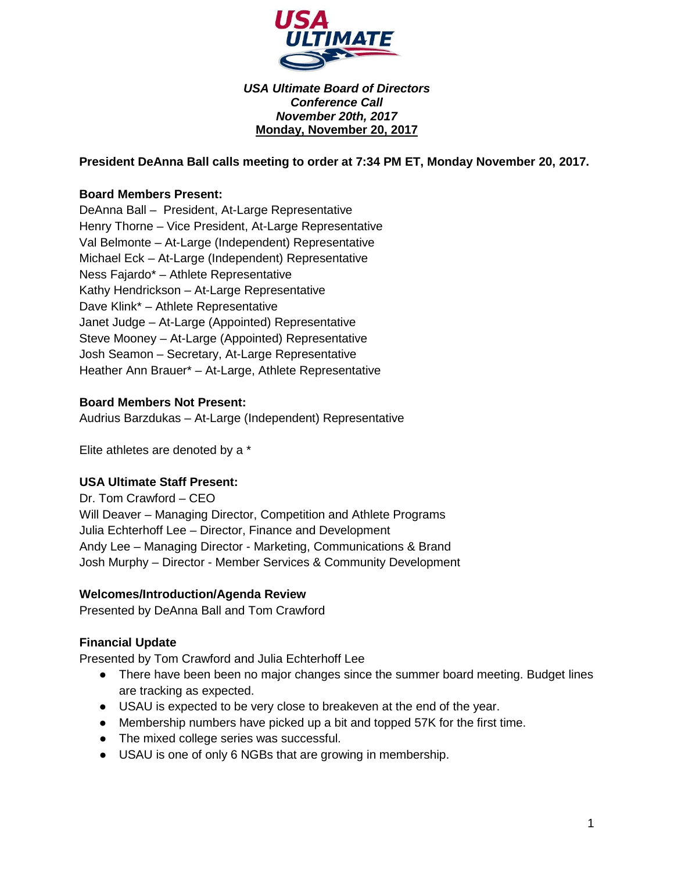

*USA Ultimate Board of Directors Conference Call November 20th, 2017* **Monday, November 20, 2017**

**President DeAnna Ball calls meeting to order at 7:34 PM ET, Monday November 20, 2017.**

#### **Board Members Present:**

DeAnna Ball – President, At-Large Representative Henry Thorne – Vice President, At-Large Representative Val Belmonte – At-Large (Independent) Representative Michael Eck – At-Large (Independent) Representative Ness Fajardo\* – Athlete Representative Kathy Hendrickson – At-Large Representative Dave Klink\* – Athlete Representative Janet Judge – At-Large (Appointed) Representative Steve Mooney – At-Large (Appointed) Representative Josh Seamon – Secretary, At-Large Representative Heather Ann Brauer\* – At-Large, Athlete Representative

#### **Board Members Not Present:**

Audrius Barzdukas – At-Large (Independent) Representative

Elite athletes are denoted by a \*

#### **USA Ultimate Staff Present:**

Dr. Tom Crawford – CEO Will Deaver – Managing Director, Competition and Athlete Programs Julia Echterhoff Lee – Director, Finance and Development Andy Lee – Managing Director - Marketing, Communications & Brand Josh Murphy – Director - Member Services & Community Development

#### **Welcomes/Introduction/Agenda Review**

Presented by DeAnna Ball and Tom Crawford

#### **Financial Update**

Presented by Tom Crawford and Julia Echterhoff Lee

- There have been been no major changes since the summer board meeting. Budget lines are tracking as expected.
- USAU is expected to be very close to breakeven at the end of the year.
- Membership numbers have picked up a bit and topped 57K for the first time.
- The mixed college series was successful.
- USAU is one of only 6 NGBs that are growing in membership.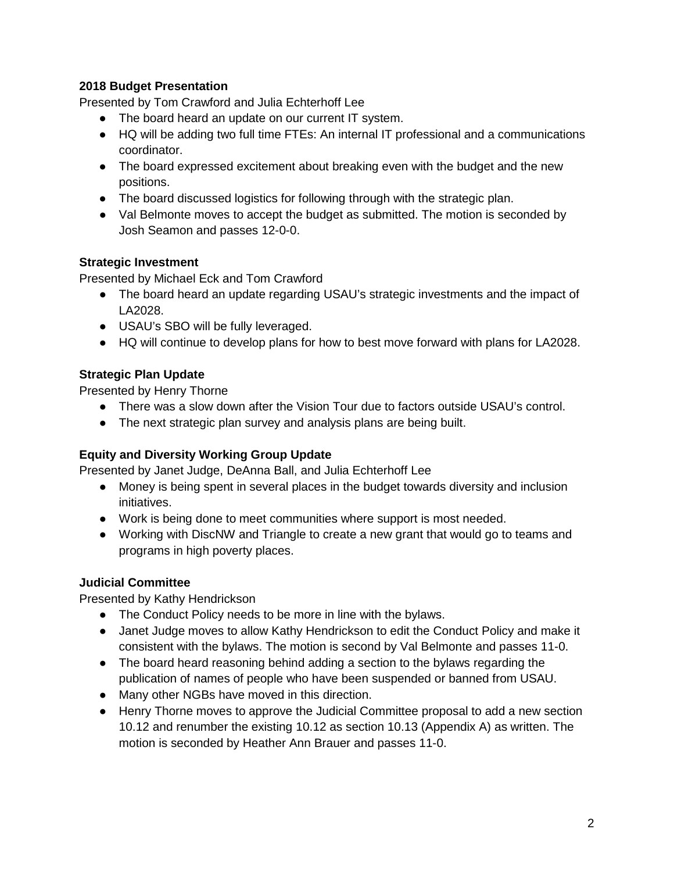## **2018 Budget Presentation**

Presented by Tom Crawford and Julia Echterhoff Lee

- The board heard an update on our current IT system.
- HQ will be adding two full time FTEs: An internal IT professional and a communications coordinator.
- The board expressed excitement about breaking even with the budget and the new positions.
- The board discussed logistics for following through with the strategic plan.
- Val Belmonte moves to accept the budget as submitted. The motion is seconded by Josh Seamon and passes 12-0-0.

## **Strategic Investment**

Presented by Michael Eck and Tom Crawford

- The board heard an update regarding USAU's strategic investments and the impact of LA2028.
- USAU's SBO will be fully leveraged.
- HQ will continue to develop plans for how to best move forward with plans for LA2028.

## **Strategic Plan Update**

Presented by Henry Thorne

- There was a slow down after the Vision Tour due to factors outside USAU's control.
- The next strategic plan survey and analysis plans are being built.

## **Equity and Diversity Working Group Update**

Presented by Janet Judge, DeAnna Ball, and Julia Echterhoff Lee

- Money is being spent in several places in the budget towards diversity and inclusion initiatives.
- Work is being done to meet communities where support is most needed.
- Working with DiscNW and Triangle to create a new grant that would go to teams and programs in high poverty places.

## **Judicial Committee**

Presented by Kathy Hendrickson

- The Conduct Policy needs to be more in line with the bylaws.
- Janet Judge moves to allow Kathy Hendrickson to edit the Conduct Policy and make it consistent with the bylaws. The motion is second by Val Belmonte and passes 11-0.
- The board heard reasoning behind adding a section to the bylaws regarding the publication of names of people who have been suspended or banned from USAU.
- Many other NGBs have moved in this direction.
- Henry Thorne moves to approve the Judicial Committee proposal to add a new section 10.12 and renumber the existing 10.12 as section 10.13 (Appendix A) as written. The motion is seconded by Heather Ann Brauer and passes 11-0.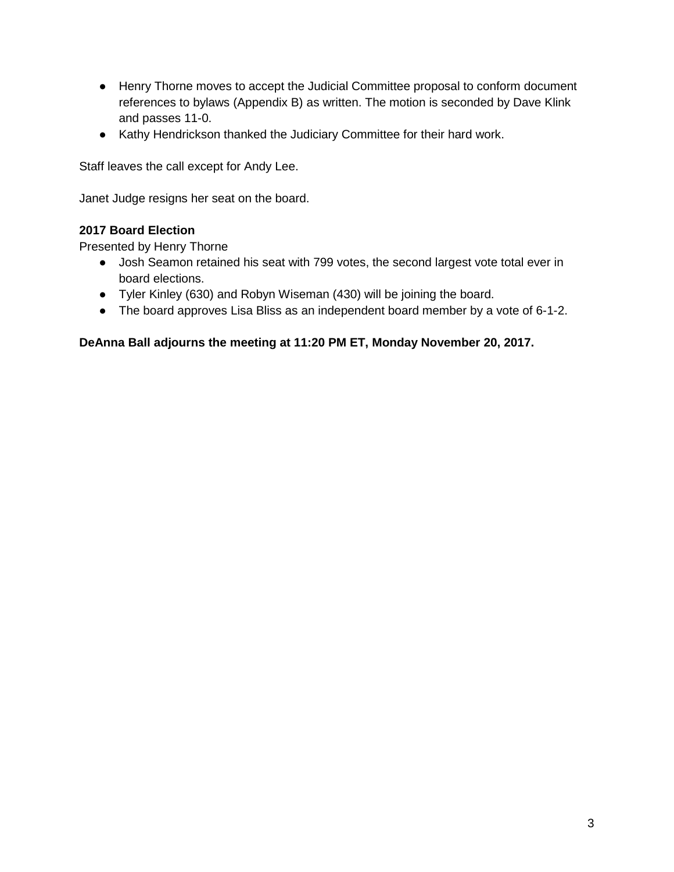- Henry Thorne moves to accept the Judicial Committee proposal to conform document references to bylaws (Appendix B) as written. The motion is seconded by Dave Klink and passes 11-0.
- Kathy Hendrickson thanked the Judiciary Committee for their hard work.

Staff leaves the call except for Andy Lee.

Janet Judge resigns her seat on the board.

## **2017 Board Election**

Presented by Henry Thorne

- Josh Seamon retained his seat with 799 votes, the second largest vote total ever in board elections.
- Tyler Kinley (630) and Robyn Wiseman (430) will be joining the board.
- The board approves Lisa Bliss as an independent board member by a vote of 6-1-2.

**DeAnna Ball adjourns the meeting at 11:20 PM ET, Monday November 20, 2017.**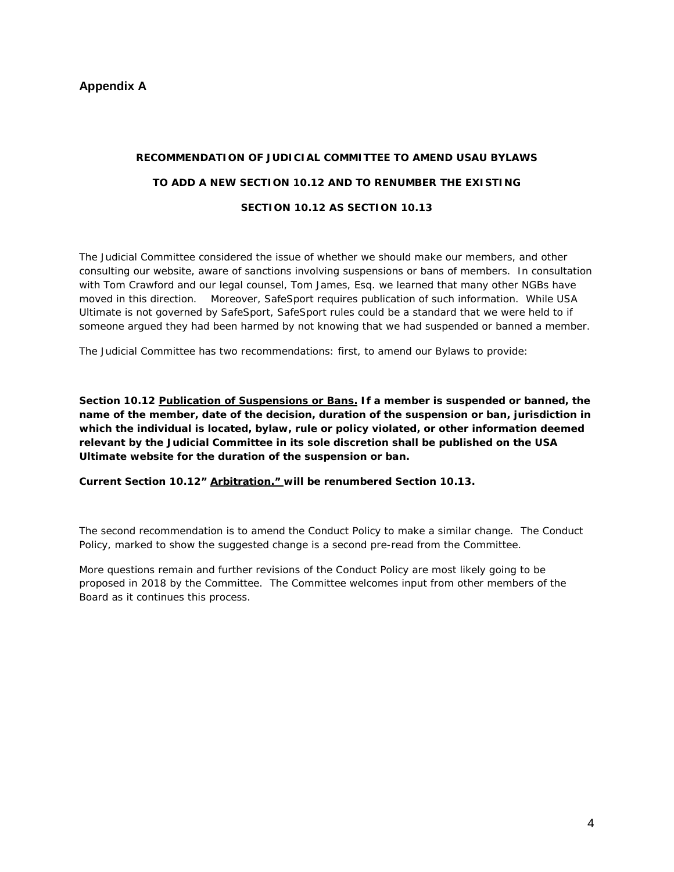#### **Appendix A**

# **RECOMMENDATION OF JUDICIAL COMMITTEE TO AMEND USAU BYLAWS TO ADD A NEW SECTION 10.12 AND TO RENUMBER THE EXISTING SECTION 10.12 AS SECTION 10.13**

The Judicial Committee considered the issue of whether we should make our members, and other consulting our website, aware of sanctions involving suspensions or bans of members. In consultation with Tom Crawford and our legal counsel, Tom James, Esq. we learned that many other NGBs have moved in this direction. Moreover, SafeSport requires publication of such information. While USA Ultimate is not governed by SafeSport, SafeSport rules could be a standard that we were held to if someone argued they had been harmed by not knowing that we had suspended or banned a member.

The Judicial Committee has two recommendations: first, to amend our Bylaws to provide:

**Section 10.12 Publication of Suspensions or Bans. If a member is suspended or banned, the name of the member, date of the decision, duration of the suspension or ban, jurisdiction in which the individual is located, bylaw, rule or policy violated, or other information deemed relevant by the Judicial Committee in its sole discretion shall be published on the USA Ultimate website for the duration of the suspension or ban.** 

**Current Section 10.12" Arbitration." will be renumbered Section 10.13.**

The second recommendation is to amend the Conduct Policy to make a similar change. The Conduct Policy, marked to show the suggested change is a second pre-read from the Committee.

More questions remain and further revisions of the Conduct Policy are most likely going to be proposed in 2018 by the Committee. The Committee welcomes input from other members of the Board as it continues this process.